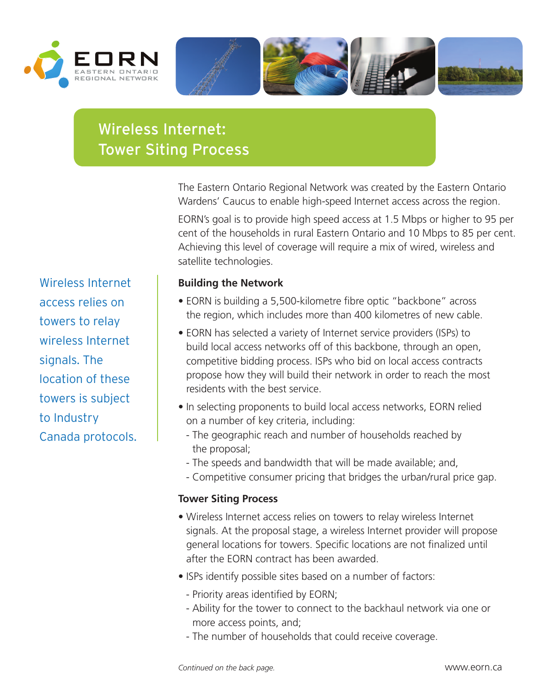







## Wireless Internet: Tower Siting Process

The Eastern Ontario Regional Network was created by the Eastern Ontario Wardens' Caucus to enable high-speed Internet access across the region.

EORN's goal is to provide high speed access at 1.5 Mbps or higher to 95 per cent of the households in rural Eastern Ontario and 10 Mbps to 85 per cent. Achieving this level of coverage will require a mix of wired, wireless and satellite technologies.

## **Building the Network**

- EORN is building a 5,500-kilometre fibre optic "backbone" across the region, which includes more than 400 kilometres of new cable.
- EORN has selected a variety of Internet service providers (ISPs) to build local access networks off of this backbone, through an open, competitive bidding process. ISPs who bid on local access contracts propose how they will build their network in order to reach the most residents with the best service.
- In selecting proponents to build local access networks, EORN relied on a number of key criteria, including:
	- The geographic reach and number of households reached by the proposal;
	- The speeds and bandwidth that will be made available; and,
	- Competitive consumer pricing that bridges the urban/rural price gap.

## **Tower Siting Process**

- Wireless Internet access relies on towers to relay wireless Internet signals. At the proposal stage, a wireless Internet provider will propose general locations for towers. Specific locations are not finalized until after the EORN contract has been awarded.
- ISPs identify possible sites based on a number of factors:
	- Priority areas identified by EORN;
	- Ability for the tower to connect to the backhaul network via one or more access points, and;
	- The number of households that could receive coverage.

Wireless Internet access relies on towers to relay wireless Internet signals. The location of these towers is subject to Industry Canada protocols.